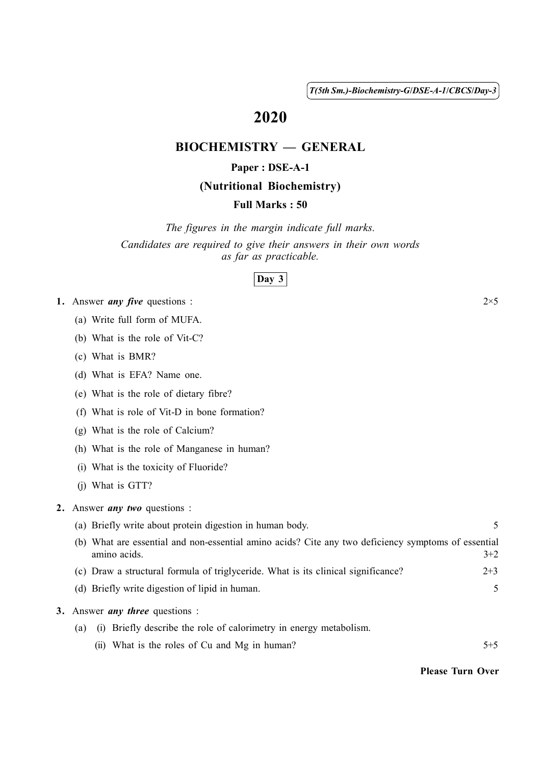( 1 ) *T(5th Sm.)-Biochemistry-G*/*DSE-A-1*/*CBCS*/*Day-3*

# 2020

## BIOCHEMISTRY — GENERAL

### Paper : DSE-A-1

#### (Nutritional Biochemistry)

### Full Marks : 50

*The figures in the margin indicate full marks. Candidates are required to give their answers in their own words as far as practicable.*

#### Day 3

1. Answer *any five* questions :  $2 \times 5$ 

- (a) Write full form of MUFA.
- (b) What is the role of Vit-C?
- (c) What is BMR?
- (d) What is EFA? Name one.
- (e) What is the role of dietary fibre?
- (f) What is role of Vit-D in bone formation?
- (g) What is the role of Calcium?
- (h) What is the role of Manganese in human?
- (i) What is the toxicity of Fluoride?
- (j) What is GTT?

#### 2. Answer *any two* questions :

|                                                                                                                     | (a) Briefly write about protein digestion in human body.                          |         |  |  |
|---------------------------------------------------------------------------------------------------------------------|-----------------------------------------------------------------------------------|---------|--|--|
| (b) What are essential and non-essential amino acids? Cite any two deficiency symptoms of essential<br>amino acids. |                                                                                   |         |  |  |
|                                                                                                                     | (c) Draw a structural formula of triglyceride. What is its clinical significance? | $2+3$   |  |  |
|                                                                                                                     | (d) Briefly write digestion of lipid in human.                                    |         |  |  |
| 3. Answer <i>any three</i> questions :                                                                              |                                                                                   |         |  |  |
|                                                                                                                     | (i) Briefly describe the role of calorimetry in energy metabolism.<br>(a)         |         |  |  |
|                                                                                                                     | (ii) What is the roles of Cu and Mg in human?                                     | $5 + 5$ |  |  |

Please Turn Over